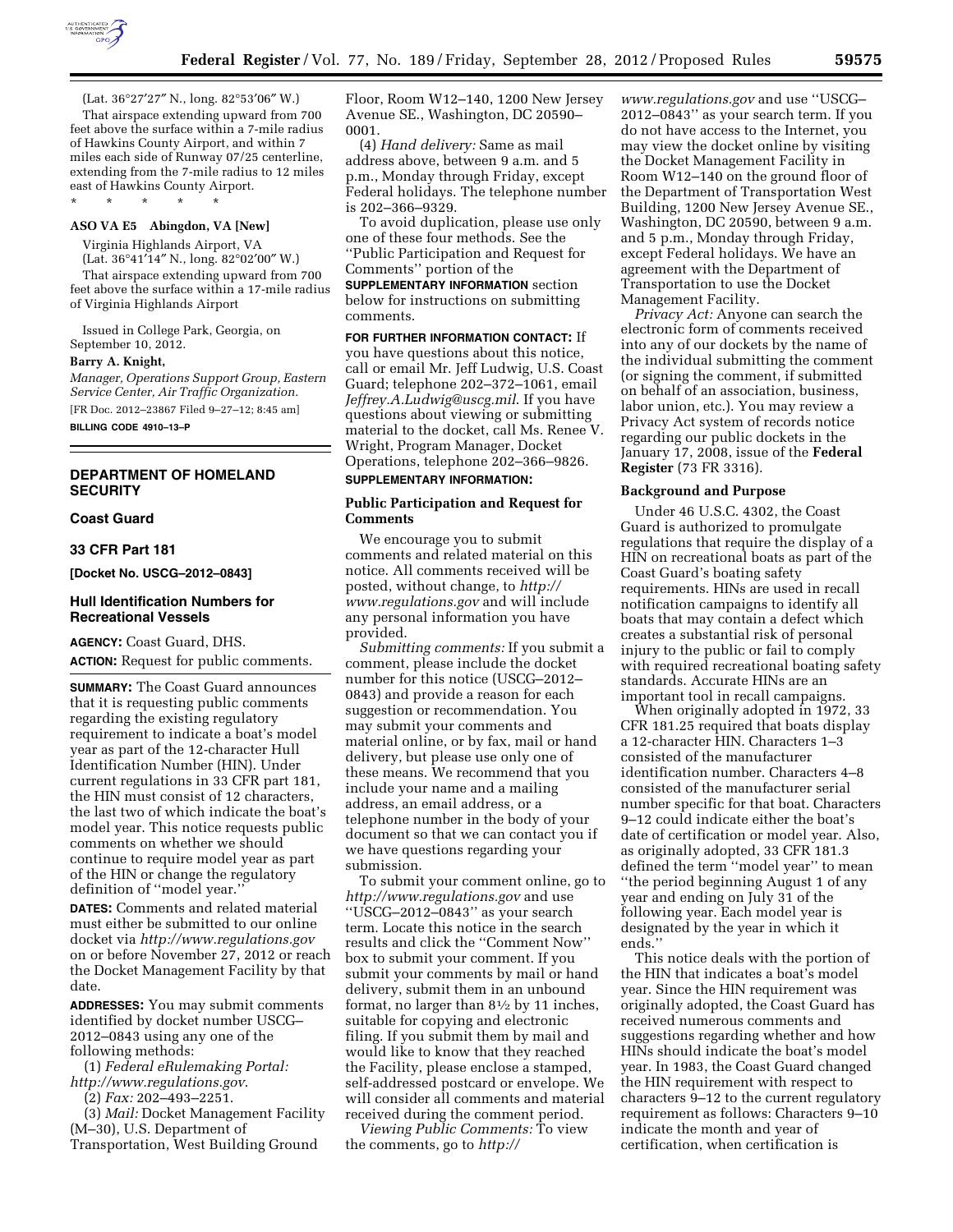

(Lat. 36°27′27″ N., long. 82°53′06″ W.)

That airspace extending upward from 700 feet above the surface within a 7-mile radius of Hawkins County Airport, and within 7 miles each side of Runway 07/25 centerline, extending from the 7-mile radius to 12 miles east of Hawkins County Airport.

#### **ASO VA E5 Abingdon, VA [New]**

\* \* \* \* \*

Virginia Highlands Airport, VA (Lat. 36°41′14″ N., long. 82°02′00″ W.) That airspace extending upward from 700

feet above the surface within a 17-mile radius of Virginia Highlands Airport

Issued in College Park, Georgia, on September 10, 2012.

### **Barry A. Knight,**

*Manager, Operations Support Group, Eastern Service Center, Air Traffic Organization.*  [FR Doc. 2012–23867 Filed 9–27–12; 8:45 am]

**BILLING CODE 4910–13–P** 

# **DEPARTMENT OF HOMELAND SECURITY**

### **Coast Guard**

### **33 CFR Part 181**

**[Docket No. USCG–2012–0843]** 

### **Hull Identification Numbers for Recreational Vessels**

**AGENCY:** Coast Guard, DHS. **ACTION:** Request for public comments.

**SUMMARY:** The Coast Guard announces that it is requesting public comments regarding the existing regulatory requirement to indicate a boat's model year as part of the 12-character Hull Identification Number (HIN). Under current regulations in 33 CFR part 181, the HIN must consist of 12 characters, the last two of which indicate the boat's model year. This notice requests public comments on whether we should continue to require model year as part of the HIN or change the regulatory definition of ''model year.''

**DATES:** Comments and related material must either be submitted to our online docket via *<http://www.regulations.gov>*  on or before November 27, 2012 or reach the Docket Management Facility by that date.

**ADDRESSES:** You may submit comments identified by docket number USCG– 2012–0843 using any one of the following methods:

(1) *Federal eRulemaking Portal: <http://www.regulations.gov>*.

(2) *Fax:* 202–493–2251.

(3) *Mail:* Docket Management Facility (M–30), U.S. Department of Transportation, West Building Ground

Floor, Room W12–140, 1200 New Jersey Avenue SE., Washington, DC 20590– 0001.

(4) *Hand delivery:* Same as mail address above, between 9 a.m. and 5 p.m., Monday through Friday, except Federal holidays. The telephone number is 202–366–9329.

To avoid duplication, please use only one of these four methods. See the ''Public Participation and Request for Comments'' portion of the **SUPPLEMENTARY INFORMATION** section below for instructions on submitting

comments.

**FOR FURTHER INFORMATION CONTACT:** If you have questions about this notice, call or email Mr. Jeff Ludwig, U.S. Coast Guard; telephone 202–372–1061, email *[Jeffrey.A.Ludwig@uscg.mil](mailto:Jeffrey.A.Ludwig@uscg.mil)*. If you have questions about viewing or submitting material to the docket, call Ms. Renee V. Wright, Program Manager, Docket Operations, telephone 202–366–9826.

# **SUPPLEMENTARY INFORMATION:**

## **Public Participation and Request for Comments**

We encourage you to submit comments and related material on this notice. All comments received will be posted, without change, to *[http://](http://www.regulations.gov) [www.regulations.gov](http://www.regulations.gov)* and will include any personal information you have provided.

*Submitting comments:* If you submit a comment, please include the docket number for this notice (USCG–2012– 0843) and provide a reason for each suggestion or recommendation. You may submit your comments and material online, or by fax, mail or hand delivery, but please use only one of these means. We recommend that you include your name and a mailing address, an email address, or a telephone number in the body of your document so that we can contact you if we have questions regarding your submission.

To submit your comment online, go to *<http://www.regulations.gov>* and use ''USCG–2012–0843'' as your search term. Locate this notice in the search results and click the ''Comment Now'' box to submit your comment. If you submit your comments by mail or hand delivery, submit them in an unbound format, no larger than 81⁄2 by 11 inches, suitable for copying and electronic filing. If you submit them by mail and would like to know that they reached the Facility, please enclose a stamped, self-addressed postcard or envelope. We will consider all comments and material received during the comment period.

*Viewing Public Comments:* To view the comments, go to *[http://](http://www.regulations.gov)* 

*[www.regulations.gov](http://www.regulations.gov)* and use ''USCG– 2012–0843'' as your search term. If you do not have access to the Internet, you may view the docket online by visiting the Docket Management Facility in Room W12–140 on the ground floor of the Department of Transportation West Building, 1200 New Jersey Avenue SE., Washington, DC 20590, between 9 a.m. and 5 p.m., Monday through Friday, except Federal holidays. We have an agreement with the Department of Transportation to use the Docket Management Facility.

*Privacy Act:* Anyone can search the electronic form of comments received into any of our dockets by the name of the individual submitting the comment (or signing the comment, if submitted on behalf of an association, business, labor union, etc.). You may review a Privacy Act system of records notice regarding our public dockets in the January 17, 2008, issue of the **Federal Register** (73 FR 3316).

#### **Background and Purpose**

Under 46 U.S.C. 4302, the Coast Guard is authorized to promulgate regulations that require the display of a HIN on recreational boats as part of the Coast Guard's boating safety requirements. HINs are used in recall notification campaigns to identify all boats that may contain a defect which creates a substantial risk of personal injury to the public or fail to comply with required recreational boating safety standards. Accurate HINs are an important tool in recall campaigns.

When originally adopted in 1972, 33 CFR 181.25 required that boats display a 12-character HIN. Characters 1–3 consisted of the manufacturer identification number. Characters 4–8 consisted of the manufacturer serial number specific for that boat. Characters 9–12 could indicate either the boat's date of certification or model year. Also, as originally adopted, 33 CFR 181.3 defined the term ''model year'' to mean ''the period beginning August 1 of any year and ending on July 31 of the following year. Each model year is designated by the year in which it ends.''

This notice deals with the portion of the HIN that indicates a boat's model year. Since the HIN requirement was originally adopted, the Coast Guard has received numerous comments and suggestions regarding whether and how HINs should indicate the boat's model year. In 1983, the Coast Guard changed the HIN requirement with respect to characters 9–12 to the current regulatory requirement as follows: Characters 9–10 indicate the month and year of certification, when certification is